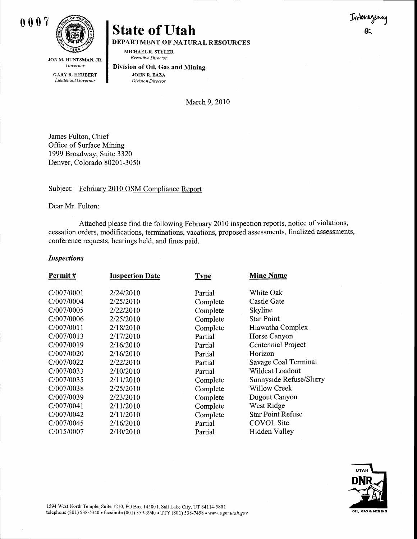

## **State of Utah**

**DEPARTMENT OF NATURAL RESOURCES** 

MICHAEL R. STYLER Executive Director

Governor **GARY R. HERBERT** Lieutenant Governor

JON M. HUNTSMAN, JR.

Division of Oil, Gas and Mining **JOHN R. BAZA** 

Division Director

March 9, 2010

James Fulton, Chief Office of Surface Mining 1999 Broadway, Suite 3320 Denver, Colorado 80201-3050

## Subject: February 2010 OSM Compliance Report

Dear Mr. Fulton:

Attached please find the following February 2010 inspection reports, notice of violations, cessation orders, modifications, terminations, vacations, proposed assessments, finalized assessments, conference requests, hearings held, and fines paid.

## **Inspections**

| Permit#    | <b>Inspection Date</b> | <b>Type</b> | <b>Mine Name</b>         |
|------------|------------------------|-------------|--------------------------|
| C/007/0001 | 2/24/2010              | Partial     | White Oak                |
| C/007/0004 | 2/25/2010              | Complete    | Castle Gate              |
| C/007/0005 | 2/22/2010              | Complete    | Skyline                  |
| C/007/0006 | 2/25/2010              | Complete    | <b>Star Point</b>        |
| C/007/0011 | 2/18/2010              | Complete    | Hiawatha Complex         |
| C/007/0013 | 2/17/2010              | Partial     | Horse Canyon             |
| C/007/0019 | 2/16/2010              | Partial     | Centennial Project       |
| C/007/0020 | 2/16/2010              | Partial     | Horizon                  |
| C/007/0022 | 2/22/2010              | Partial     | Savage Coal Terminal     |
| C/007/0033 | 2/10/2010              | Partial     | Wildcat Loadout          |
| C/007/0035 | 2/11/2010              | Complete    | Sunnyside Refuse/Slurry  |
| C/007/0038 | 2/25/2010              | Complete    | <b>Willow Creek</b>      |
| C/007/0039 | 2/23/2010              | Complete    | Dugout Canyon            |
| C/007/0041 | 2/11/2010              | Complete    | West Ridge               |
| C/007/0042 | 2/11/2010              | Complete    | <b>Star Point Refuse</b> |
| C/007/0045 | 2/16/2010              | Partial     | <b>COVOL</b> Site        |
| C/015/0007 | 2/10/2010              | Partial     | Hidden Valley            |
|            |                        |             |                          |